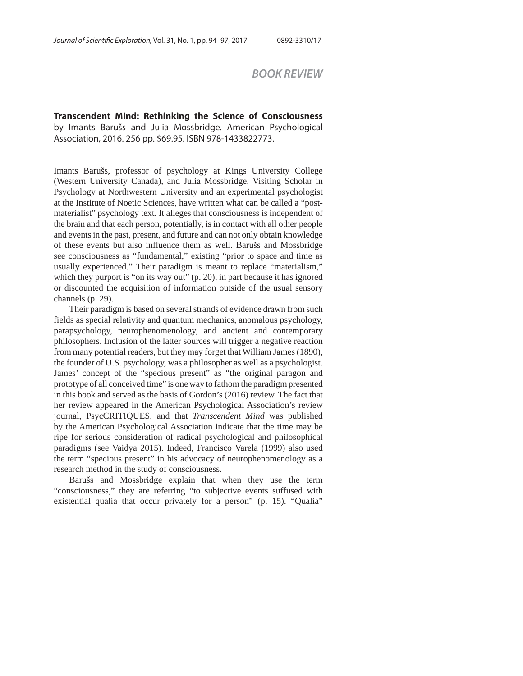## *BOOK REVIEW*

**Transcendent Mind: Rethinking the Science of Consciousness**  by Imants Barušs and Julia Mossbridge. American Psychological Association, 2016. 256 pp. \$69.95. ISBN 978-1433822773.

Imants Barušs, professor of psychology at Kings University College (Western University Canada), and Julia Mossbridge, Visiting Scholar in Psychology at Northwestern University and an experimental psychologist at the Institute of Noetic Sciences, have written what can be called a "postmaterialist" psychology text. It alleges that consciousness is independent of the brain and that each person, potentially, is in contact with all other people and events in the past, present, and future and can not only obtain knowledge of these events but also influence them as well. Barušs and Mossbridge see consciousness as "fundamental," existing "prior to space and time as usually experienced." Their paradigm is meant to replace "materialism," which they purport is "on its way out" (p. 20), in part because it has ignored or discounted the acquisition of information outside of the usual sensory channels (p. 29).

Their paradigm is based on several strands of evidence drawn from such fields as special relativity and quantum mechanics, anomalous psychology, parapsychology, neurophenomenology, and ancient and contemporary philosophers. Inclusion of the latter sources will trigger a negative reaction from many potential readers, but they may forget that William James (1890), the founder of U.S. psychology, was a philosopher as well as a psychologist. James' concept of the "specious present" as "the original paragon and prototype of all conceived time" is one way to fathom the paradigm presented in this book and served as the basis of Gordon's (2016) review. The fact that her review appeared in the American Psychological Association's review journal, PsycCRITIQUES, and that *Transcendent Mind* was published by the American Psychological Association indicate that the time may be ripe for serious consideration of radical psychological and philosophical paradigms (see Vaidya 2015). Indeed, Francisco Varela (1999) also used the term "specious present" in his advocacy of neurophenomenology as a research method in the study of consciousness.

Barušs and Mossbridge explain that when they use the term "consciousness," they are referring "to subjective events suffused with existential qualia that occur privately for a person" (p. 15). "Qualia"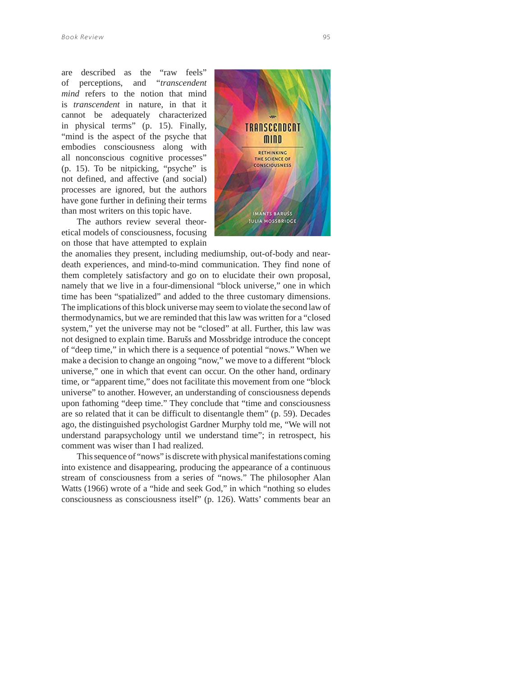are described as the "raw feels" of perceptions, and "*transcendent mind* refers to the notion that mind is *transcendent* in nature, in that it cannot be adequately characterized in physical terms" (p. 15). Finally, "mind is the aspect of the psyche that embodies consciousness along with all nonconscious cognitive processes" (p. 15). To be nitpicking, "psyche" is not defined, and affective (and social) processes are ignored, but the authors have gone further in defining their terms than most writers on this topic have.

The authors review several theoretical models of consciousness, focusing on those that have attempted to explain



the anomalies they present, including mediumship, out-of-body and neardeath experiences, and mind-to-mind communication. They find none of them completely satisfactory and go on to elucidate their own proposal, namely that we live in a four-dimensional "block universe," one in which time has been "spatialized" and added to the three customary dimensions. The implications of this block universe may seem to violate the second law of thermodynamics, but we are reminded that this law was written for a "closed system," yet the universe may not be "closed" at all. Further, this law was not designed to explain time. Barušs and Mossbridge introduce the concept of "deep time," in which there is a sequence of potential "nows." When we make a decision to change an ongoing "now," we move to a different "block universe," one in which that event can occur. On the other hand, ordinary time, or "apparent time," does not facilitate this movement from one "block universe" to another. However, an understanding of consciousness depends upon fathoming "deep time." They conclude that "time and consciousness are so related that it can be difficult to disentangle them" (p. 59). Decades ago, the distinguished psychologist Gardner Murphy told me, "We will not understand parapsychology until we understand time"; in retrospect, his comment was wiser than I had realized.

This sequence of "nows" is discrete with physical manifestations coming into existence and disappearing, producing the appearance of a continuous stream of consciousness from a series of "nows." The philosopher Alan Watts (1966) wrote of a "hide and seek God," in which "nothing so eludes consciousness as consciousness itself" (p. 126). Watts' comments bear an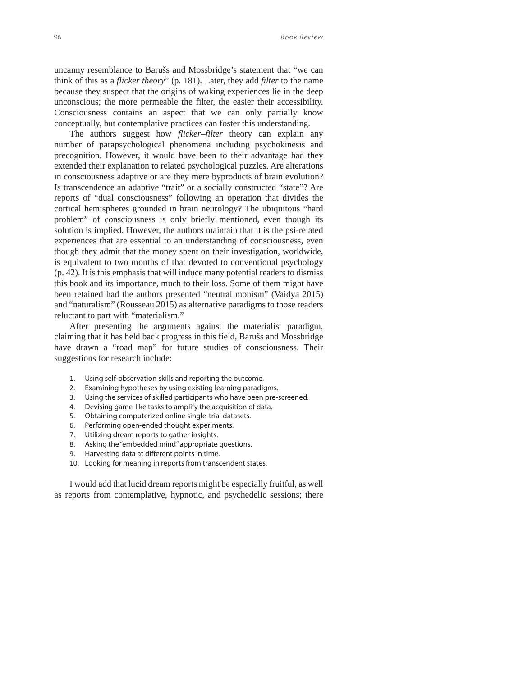uncanny resemblance to Barušs and Mossbridge's statement that "we can think of this as a *flicker theory*" (p. 181). Later, they add *filter* to the name because they suspect that the origins of waking experiences lie in the deep unconscious; the more permeable the filter, the easier their accessibility. Consciousness contains an aspect that we can only partially know conceptually, but contemplative practices can foster this understanding.

The authors suggest how *flicker–filter* theory can explain any number of parapsychological phenomena including psychokinesis and precognition. However, it would have been to their advantage had they extended their explanation to related psychological puzzles. Are alterations in consciousness adaptive or are they mere byproducts of brain evolution? Is transcendence an adaptive "trait" or a socially constructed "state"? Are reports of "dual consciousness" following an operation that divides the cortical hemispheres grounded in brain neurology? The ubiquitous "hard problem" of consciousness is only briefly mentioned, even though its solution is implied. However, the authors maintain that it is the psi-related experiences that are essential to an understanding of consciousness, even though they admit that the money spent on their investigation, worldwide, is equivalent to two months of that devoted to conventional psychology (p. 42). It is this emphasis that will induce many potential readers to dismiss this book and its importance, much to their loss. Some of them might have been retained had the authors presented "neutral monism" (Vaidya 2015) and "naturalism" (Rousseau 2015) as alternative paradigms to those readers reluctant to part with "materialism."

After presenting the arguments against the materialist paradigm, claiming that it has held back progress in this field, Barušs and Mossbridge have drawn a "road map" for future studies of consciousness. Their suggestions for research include:

- 1. Using self-observation skills and reporting the outcome.
- 2. Examining hypotheses by using existing learning paradigms.
- 3. Using the services of skilled participants who have been pre-screened.
- 4. Devising game-like tasks to amplify the acquisition of data.
- 5. Obtaining computerized online single-trial datasets.
- 6. Performing open-ended thought experiments.
- 7. Utilizing dream reports to gather insights.
- 8. Asking the "embedded mind" appropriate questions.
- 9. Harvesting data at different points in time.
- 10. Looking for meaning in reports from transcendent states.

I would add that lucid dream reports might be especially fruitful, as well as reports from contemplative, hypnotic, and psychedelic sessions; there